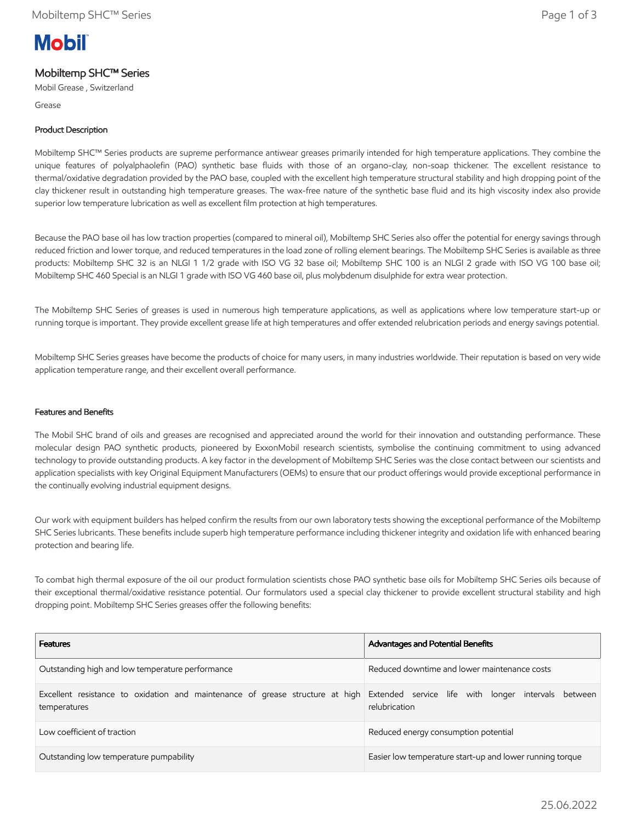# **Mobil**

# Mobiltemp SHC™ Series

Mobil Grease , Switzerland

Grease

## Product Description

Mobiltemp SHC™ Series products are supreme performance antiwear greases primarily intended for high temperature applications. They combine the unique features of polyalphaolefin (PAO) synthetic base fluids with those of an organo-clay, non-soap thickener. The excellent resistance to thermal/oxidative degradation provided by the PAO base, coupled with the excellent high temperature structural stability and high dropping point of the clay thickener result in outstanding high temperature greases. The wax-free nature of the synthetic base fluid and its high viscosity index also provide superior low temperature lubrication as well as excellent film protection at high temperatures.

Because the PAO base oil has low traction properties (compared to mineral oil), Mobiltemp SHC Series also offer the potential for energy savings through reduced friction and lower torque, and reduced temperatures in the load zone of rolling element bearings. The Mobiltemp SHC Series is available as three products: Mobiltemp SHC 32 is an NLGI 1 1/2 grade with ISO VG 32 base oil; Mobiltemp SHC 100 is an NLGI 2 grade with ISO VG 100 base oil; Mobiltemp SHC 460 Special is an NLGI 1 grade with ISO VG 460 base oil, plus molybdenum disulphide for extra wear protection.

The Mobiltemp SHC Series of greases is used in numerous high temperature applications, as well as applications where low temperature start-up or running torque is important. They provide excellent grease life at high temperatures and offer extended relubrication periods and energy savings potential.

Mobiltemp SHC Series greases have become the products of choice for many users, in many industries worldwide. Their reputation is based on very wide application temperature range, and their excellent overall performance.

### Features and Benefits

The Mobil SHC brand of oils and greases are recognised and appreciated around the world for their innovation and outstanding performance. These molecular design PAO synthetic products, pioneered by ExxonMobil research scientists, symbolise the continuing commitment to using advanced technology to provide outstanding products. A key factor in the development of Mobiltemp SHC Series was the close contact between our scientists and application specialists with key Original Equipment Manufacturers (OEMs) to ensure that our product offerings would provide exceptional performance in the continually evolving industrial equipment designs.

Our work with equipment builders has helped confirm the results from our own laboratory tests showing the exceptional performance of the Mobiltemp SHC Series lubricants. These benefits include superb high temperature performance including thickener integrity and oxidation life with enhanced bearing protection and bearing life.

To combat high thermal exposure of the oil our product formulation scientists chose PAO synthetic base oils for Mobiltemp SHC Series oils because of their exceptional thermal/oxidative resistance potential. Our formulators used a special clay thickener to provide excellent structural stability and high dropping point. Mobiltemp SHC Series greases offer the following benefits:

| <b>Features</b>                                                                                                                                   | Advantages and Potential Benefits                        |  |  |  |
|---------------------------------------------------------------------------------------------------------------------------------------------------|----------------------------------------------------------|--|--|--|
| Outstanding high and low temperature performance                                                                                                  | Reduced downtime and lower maintenance costs             |  |  |  |
| Excellent resistance to oxidation and maintenance of grease structure at high Extended service life with longer intervals between<br>temperatures | relubrication                                            |  |  |  |
| Low coefficient of traction                                                                                                                       | Reduced energy consumption potential                     |  |  |  |
| Outstanding low temperature pumpability                                                                                                           | Easier low temperature start-up and lower running torque |  |  |  |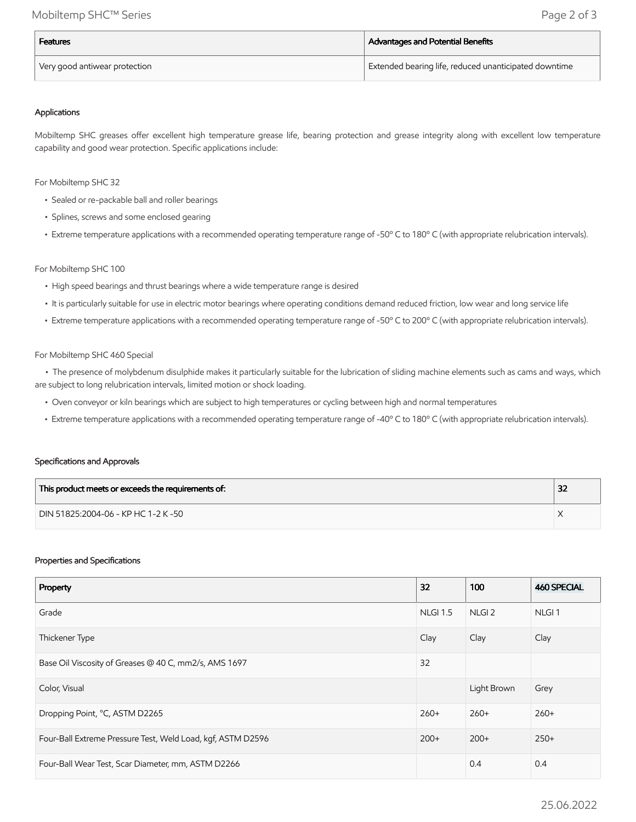| <b>Features</b>               | Advantages and Potential Benefits                                  |  |  |
|-------------------------------|--------------------------------------------------------------------|--|--|
| Very good antiwear protection | <sup>I</sup> Extended bearing life, reduced unanticipated downtime |  |  |

#### Applications

Mobiltemp SHC greases offer excellent high temperature grease life, bearing protection and grease integrity along with excellent low temperature capability and good wear protection. Specific applications include:

For Mobiltemp SHC 32

- Sealed or re-packable ball and roller bearings
- Splines, screws and some enclosed gearing
- Extreme temperature applications with a recommended operating temperature range of -50º C to 180º C (with appropriate relubrication intervals).

#### For Mobiltemp SHC 100

- High speed bearings and thrust bearings where a wide temperature range is desired
- It is particularly suitable for use in electric motor bearings where operating conditions demand reduced friction, low wear and long service life
- Extreme temperature applications with a recommended operating temperature range of -50º C to 200º C (with appropriate relubrication intervals).

#### For Mobiltemp SHC 460 Special

 • The presence of molybdenum disulphide makes it particularly suitable for the lubrication of sliding machine elements such as cams and ways, which are subject to long relubrication intervals, limited motion or shock loading.

- Oven conveyor or kiln bearings which are subject to high temperatures or cycling between high and normal temperatures
- Extreme temperature applications with a recommended operating temperature range of -40º C to 180º C (with appropriate relubrication intervals).

#### Specifications and Approvals

| This product meets or exceeds the requirements of: | 32 |
|----------------------------------------------------|----|
| DIN 51825:2004-06 - KP HC 1-2 K -50                |    |

#### Properties and Specifications

| Property                                                    | 32              | 100               | <b>460 SPECIAL</b> |
|-------------------------------------------------------------|-----------------|-------------------|--------------------|
| Grade                                                       | <b>NLGI 1.5</b> | NLGI <sub>2</sub> | NLGI <sub>1</sub>  |
| Thickener Type                                              | Clay            | Clay              | Clay               |
| Base Oil Viscosity of Greases @ 40 C, mm2/s, AMS 1697       | 32              |                   |                    |
| Color, Visual                                               |                 | Light Brown       | Grey               |
| Dropping Point, °C, ASTM D2265                              | $260+$          | $260+$            | $260+$             |
| Four-Ball Extreme Pressure Test, Weld Load, kgf, ASTM D2596 | $200+$          | $200+$            | $250+$             |
| Four-Ball Wear Test, Scar Diameter, mm, ASTM D2266          |                 | 0.4               | 0.4                |